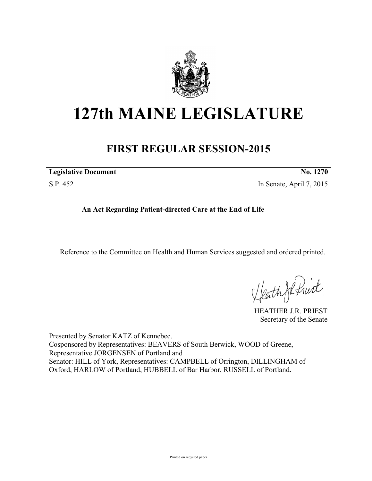

## **127th MAINE LEGISLATURE**

## **FIRST REGULAR SESSION-2015**

| <b>Legislative Document</b> | <b>No. 1270</b>          |
|-----------------------------|--------------------------|
| S.P. 452                    | In Senate, April 7, 2015 |

**An Act Regarding Patient-directed Care at the End of Life**

Reference to the Committee on Health and Human Services suggested and ordered printed.

Heath Je fruit

HEATHER J.R. PRIEST Secretary of the Senate

Presented by Senator KATZ of Kennebec. Cosponsored by Representatives: BEAVERS of South Berwick, WOOD of Greene, Representative JORGENSEN of Portland and Senator: HILL of York, Representatives: CAMPBELL of Orrington, DILLINGHAM of Oxford, HARLOW of Portland, HUBBELL of Bar Harbor, RUSSELL of Portland.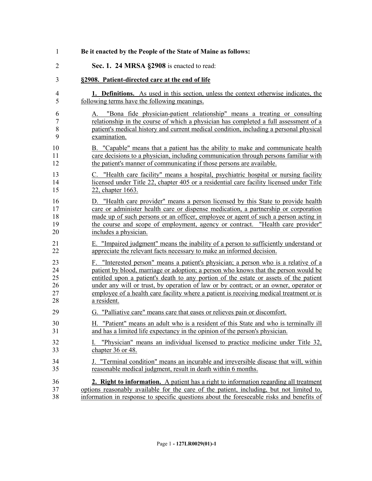| 1              | Be it enacted by the People of the State of Maine as follows:                               |
|----------------|---------------------------------------------------------------------------------------------|
| $\overline{2}$ | Sec. 1. 24 MRSA §2908 is enacted to read:                                                   |
| 3              | §2908. Patient-directed care at the end of life                                             |
| $\overline{4}$ | <b>1. Definitions.</b> As used in this section, unless the context otherwise indicates, the |
| 5              | following terms have the following meanings.                                                |
| 6              | A. "Bona fide physician-patient relationship" means a treating or consulting                |
| 7              | relationship in the course of which a physician has completed a full assessment of a        |
| 8              | patient's medical history and current medical condition, including a personal physical      |
| 9              | examination.                                                                                |
| 10             | B. "Capable" means that a patient has the ability to make and communicate health            |
| 11             | care decisions to a physician, including communication through persons familiar with        |
| 12             | the patient's manner of communicating if those persons are available.                       |
| 13             | C. "Health care facility" means a hospital, psychiatric hospital or nursing facility        |
| 14             | licensed under Title 22, chapter 405 or a residential care facility licensed under Title    |
| 15             | 22, chapter 1663.                                                                           |
| 16             | D. "Health care provider" means a person licensed by this State to provide health           |
| 17             | care or administer health care or dispense medication, a partnership or corporation         |
| 18             | made up of such persons or an officer, employee or agent of such a person acting in         |
| 19             | the course and scope of employment, agency or contract. "Health care provider"              |
| 20             | includes a physician.                                                                       |
| 21             | E. "Impaired judgment" means the inability of a person to sufficiently understand or        |
| 22             | appreciate the relevant facts necessary to make an informed decision.                       |
| 23             | F. "Interested person" means a patient's physician; a person who is a relative of a         |
| 24             | patient by blood, marriage or adoption; a person who knows that the person would be         |
| 25             | entitled upon a patient's death to any portion of the estate or assets of the patient       |
| 26             | under any will or trust, by operation of law or by contract; or an owner, operator or       |
| 27             | employee of a health care facility where a patient is receiving medical treatment or is     |
| 28             | a resident.                                                                                 |
| 29             | G. "Palliative care" means care that eases or relieves pain or discomfort.                  |
| 30             | H. "Patient" means an adult who is a resident of this State and who is terminally ill       |
| 31             | and has a limited life expectancy in the opinion of the person's physician.                 |
| 32             | "Physician" means an individual licensed to practice medicine under Title 32,               |
| 33             | chapter 36 or 48.                                                                           |
| 34             | J. "Terminal condition" means an incurable and irreversible disease that will, within       |
| 35             | reasonable medical judgment, result in death within 6 months.                               |
| 36             | 2. Right to information. A patient has a right to information regarding all treatment       |
| 37             | options reasonably available for the care of the patient, including, but not limited to,    |
| 38             | information in response to specific questions about the foreseeable risks and benefits of   |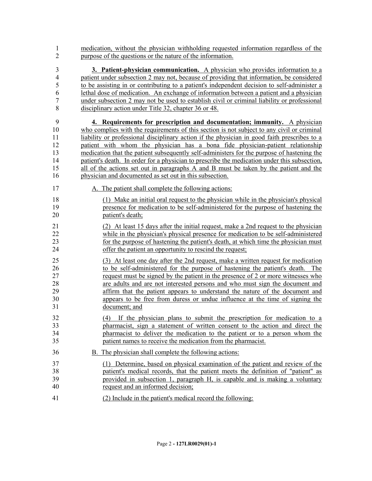medication, without the physician withholding requested information regardless of the purpose of the questions or the nature of the information.

 **3. Patient-physician communication.** A physician who provides information to a patient under subsection 2 may not, because of providing that information, be considered to be assisting in or contributing to a patient's independent decision to self-administer a lethal dose of medication. An exchange of information between a patient and a physician under subsection 2 may not be used to establish civil or criminal liability or professional disciplinary action under Title 32, chapter 36 or 48.

 **4. Requirements for prescription and documentation; immunity.** A physician who complies with the requirements of this section is not subject to any civil or criminal liability or professional disciplinary action if the physician in good faith prescribes to a patient with whom the physician has a bona fide physician-patient relationship medication that the patient subsequently self-administers for the purpose of hastening the patient's death. In order for a physician to prescribe the medication under this subsection, all of the actions set out in paragraphs A and B must be taken by the patient and the physician and documented as set out in this subsection.

- 17 A. The patient shall complete the following actions:
- (1) Make an initial oral request to the physician while in the physician's physical presence for medication to be self-administered for the purpose of hastening the patient's death;
- (2) At least 15 days after the initial request, make a 2nd request to the physician while in the physician's physical presence for medication to be self-administered for the purpose of hastening the patient's death, at which time the physician must offer the patient an opportunity to rescind the request;

 (3) At least one day after the 2nd request, make a written request for medication to be self-administered for the purpose of hastening the patient's death. The request must be signed by the patient in the presence of 2 or more witnesses who are adults and are not interested persons and who must sign the document and affirm that the patient appears to understand the nature of the document and appears to be free from duress or undue influence at the time of signing the document; and

- (4) If the physician plans to submit the prescription for medication to a pharmacist, sign a statement of written consent to the action and direct the pharmacist to deliver the medication to the patient or to a person whom the patient names to receive the medication from the pharmacist.
- B. The physician shall complete the following actions:
- (1) Determine, based on physical examination of the patient and review of the patient's medical records, that the patient meets the definition of "patient" as provided in subsection 1, paragraph H, is capable and is making a voluntary request and an informed decision;
- (2) Include in the patient's medical record the following: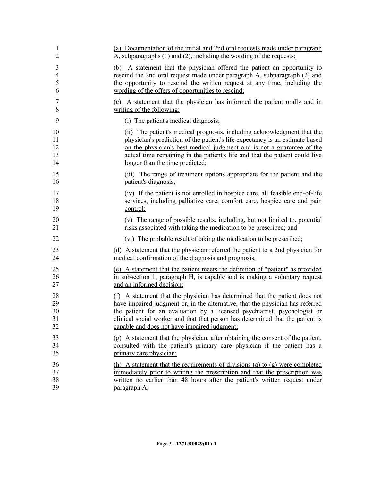| 1              | (a) Documentation of the initial and 2nd oral requests made under paragraph        |
|----------------|------------------------------------------------------------------------------------|
| $\overline{2}$ | $\overline{A}$ , subparagraphs (1) and (2), including the wording of the requests; |
| $\mathfrak{Z}$ | (b) A statement that the physician offered the patient an opportunity to           |
| $\overline{4}$ | rescind the 2nd oral request made under paragraph A, subparagraph (2) and          |
| 5              | the opportunity to rescind the written request at any time, including the          |
| 6              | wording of the offers of opportunities to rescind;                                 |
| 7              | (c) A statement that the physician has informed the patient orally and in          |
| 8              | writing of the following:                                                          |
| 9              | (i) The patient's medical diagnosis;                                               |
| 10             | (ii) The patient's medical prognosis, including acknowledgment that the            |
| 11             | physician's prediction of the patient's life expectancy is an estimate based       |
| 12             | on the physician's best medical judgment and is not a guarantee of the             |
| 13             | actual time remaining in the patient's life and that the patient could live        |
| 14             | longer than the time predicted;                                                    |
| 15             | (iii) The range of treatment options appropriate for the patient and the           |
| 16             | patient's diagnosis;                                                               |
| 17             | (iv) If the patient is not enrolled in hospice care, all feasible end-of-life      |
| 18             | services, including palliative care, comfort care, hospice care and pain           |
| 19             | control;                                                                           |
| 20             | (v) The range of possible results, including, but not limited to, potential        |
| 21             | risks associated with taking the medication to be prescribed; and                  |
| 22             | (vi) The probable result of taking the medication to be prescribed;                |
| 23             | (d) A statement that the physician referred the patient to a 2nd physician for     |
| 24             | medical confirmation of the diagnosis and prognosis;                               |
| 25             | (e) A statement that the patient meets the definition of "patient" as provided     |
| 26             | in subsection 1, paragraph H, is capable and is making a voluntary request         |
| 27             | and an informed decision;                                                          |
| 28             | (f) A statement that the physician has determined that the patient does not        |
| 29             | have impaired judgment or, in the alternative, that the physician has referred     |
| 30             | the patient for an evaluation by a licensed psychiatrist, psychologist or          |
| 31             | clinical social worker and that that person has determined that the patient is     |
| 32             | capable and does not have impaired judgment;                                       |
| 33             | (g) A statement that the physician, after obtaining the consent of the patient,    |
| 34             | consulted with the patient's primary care physician if the patient has a           |
| 35             | primary care physician;                                                            |
| 36             | (h) A statement that the requirements of divisions (a) to (g) were completed       |
| 37             | immediately prior to writing the prescription and that the prescription was        |
| 38             | written no earlier than 48 hours after the patient's written request under         |
| 39             | paragraph A;                                                                       |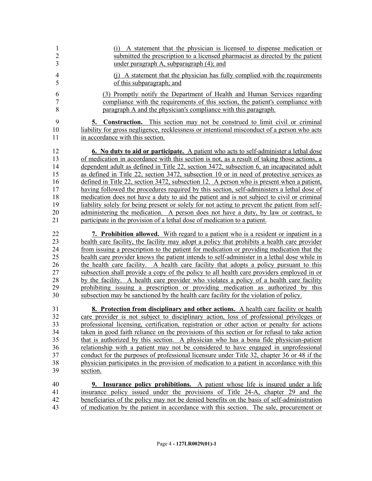| 1              | (i) A statement that the physician is licensed to dispense medication or                                                                                                |
|----------------|-------------------------------------------------------------------------------------------------------------------------------------------------------------------------|
| $\overline{2}$ | submitted the prescription to a licensed pharmacist as directed by the patient                                                                                          |
| 3              | under paragraph A, subparagraph (4); and                                                                                                                                |
| $\overline{4}$ | (i) A statement that the physician has fully complied with the requirements                                                                                             |
| 5              | of this subparagraph; and                                                                                                                                               |
| 6              | (3) Promptly notify the Department of Health and Human Services regarding                                                                                               |
| $\overline{7}$ | compliance with the requirements of this section, the patient's compliance with                                                                                         |
| 8              | paragraph A and the physician's compliance with this paragraph.                                                                                                         |
| 9              | <b>5. Construction.</b> This section may not be construed to limit civil or criminal                                                                                    |
| 10             | liability for gross negligence, recklessness or intentional misconduct of a person who acts                                                                             |
| 11             | in accordance with this section.                                                                                                                                        |
| 12             | <b>6.</b> No duty to aid or participate. A patient who acts to self-administer a lethal dose                                                                            |
| 13             | of medication in accordance with this section is not, as a result of taking those actions, a                                                                            |
| 14             | dependent adult as defined in Title 22, section 3472, subsection 6, an incapacitated adult                                                                              |
| 15             | as defined in Title 22, section 3472, subsection 10 or in need of protective services as                                                                                |
| 16             | defined in Title 22, section 3472, subsection 12. A person who is present when a patient,                                                                               |
| 17             | having followed the procedures required by this section, self-administers a lethal dose of                                                                              |
| 18             | medication does not have a duty to aid the patient and is not subject to civil or criminal                                                                              |
| 19             | liability solely for being present or solely for not acting to prevent the patient from self-                                                                           |
| 20             | administering the medication. A person does not have a duty, by law or contract, to                                                                                     |
| 21             | participate in the provision of a lethal dose of medication to a patient.                                                                                               |
| 22             | <b>7. Prohibition allowed.</b> With regard to a patient who is a resident or inpatient in a                                                                             |
| 23             | health care facility, the facility may adopt a policy that prohibits a health care provider                                                                             |
| 24             | from issuing a prescription to the patient for medication or providing medication that the                                                                              |
| 25             | health care provider knows the patient intends to self-administer in a lethal dose while in                                                                             |
| 26             | the health care facility. A health care facility that adopts a policy pursuant to this                                                                                  |
| 27             | subsection shall provide a copy of the policy to all health care providers employed in or                                                                               |
| 28             | by the facility. A health care provider who violates a policy of a health care facility                                                                                 |
| 29             | prohibiting issuing a prescription or providing medication as authorized by this                                                                                        |
| 30             | subsection may be sanctioned by the health care facility for the violation of policy.                                                                                   |
| 31             | 8. Protection from disciplinary and other actions. A health care facility or health                                                                                     |
| 32             | care provider is not subject to disciplinary action, loss of professional privileges or                                                                                 |
| 33             | professional licensing, certification, registration or other action or penalty for actions                                                                              |
| 34             | taken in good faith reliance on the provisions of this section or for refusal to take action                                                                            |
| 35             | that is authorized by this section. A physician who has a bona fide physician-patient                                                                                   |
| 36             | relationship with a patient may not be considered to have engaged in unprofessional                                                                                     |
| 37             | conduct for the purposes of professional licensure under Title 32, chapter 36 or 48 if the                                                                              |
| 38             | physician participates in the provision of medication to a patient in accordance with this                                                                              |
| 39             | section.                                                                                                                                                                |
| 40<br>41<br>42 | <b>9. Insurance policy prohibitions.</b> A patient whose life is insured under a life<br>insurance policy issued under the provisions of Title 24-A, chapter 29 and the |